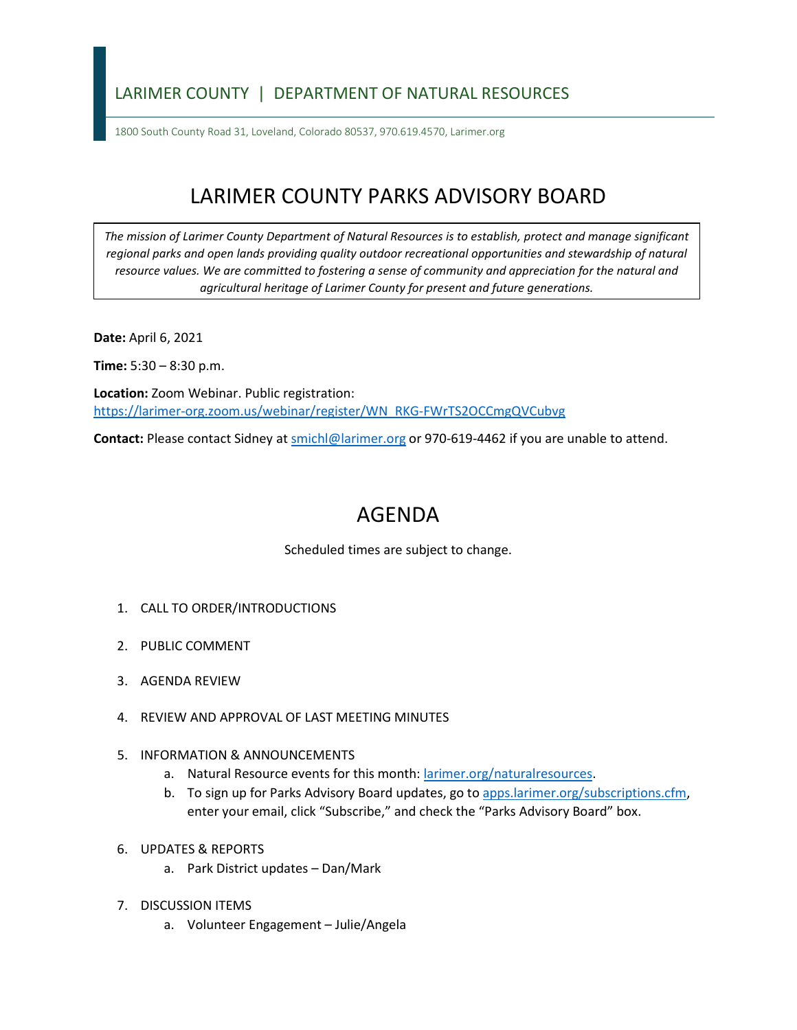## LARIMER COUNTY | DEPARTMENT OF NATURAL RESOURCES

1800 South County Road 31, Loveland, Colorado 80537, 970.619.4570, Larimer.org

## LARIMER COUNTY PARKS ADVISORY BOARD

*The mission of Larimer County Department of Natural Resources is to establish, protect and manage significant*  regional parks and open lands providing quality outdoor recreational opportunities and stewardship of natural *resource values. We are committed to fostering a sense of community and appreciation for the natural and agricultural heritage of Larimer County for present and future generations.*

**Date:** April 6, 2021

**Time:** 5:30 – 8:30 p.m.

**Location:** Zoom Webinar. Public registration: [https://larimer-org.zoom.us/webinar/register/WN\\_RKG-FWrTS2OCCmgQVCubvg](https://larimer-org.zoom.us/webinar/register/WN_RKG-FWrTS2OCCmgQVCubvg)

**Contact:** Please contact Sidney a[t smichl@larimer.org](mailto:smichl@larimer.org) or 970-619-4462 if you are unable to attend.

## AGENDA

Scheduled times are subject to change.

- 1. CALL TO ORDER/INTRODUCTIONS
- 2. PUBLIC COMMENT
- 3. AGENDA REVIEW
- 4. REVIEW AND APPROVAL OF LAST MEETING MINUTES
- 5. INFORMATION & ANNOUNCEMENTS
	- a. Natural Resource events for this month: [larimer.org/naturalresources.](https://www.larimer.org/naturalresources)
	- b. To sign up for Parks Advisory Board updates, go to [apps.larimer.org/subscriptions.cfm,](https://apps.larimer.org/subscriptions.cfm) enter your email, click "Subscribe," and check the "Parks Advisory Board" box.
- 6. UPDATES & REPORTS
	- a. Park District updates Dan/Mark
- 7. DISCUSSION ITEMS
	- a. Volunteer Engagement Julie/Angela